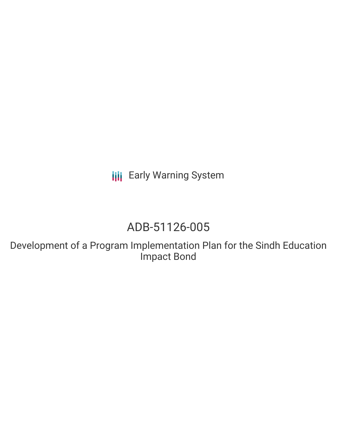**III** Early Warning System

# ADB-51126-005

Development of a Program Implementation Plan for the Sindh Education Impact Bond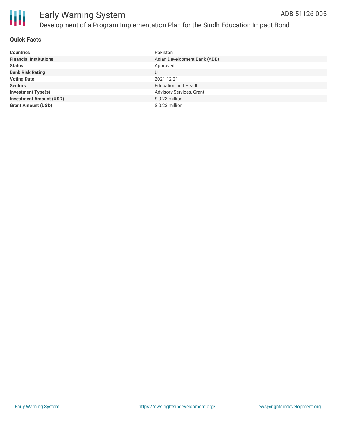

#### **Quick Facts**

| <b>Countries</b>               | Pakistan                        |
|--------------------------------|---------------------------------|
| <b>Financial Institutions</b>  | Asian Development Bank (ADB)    |
| <b>Status</b>                  | Approved                        |
| <b>Bank Risk Rating</b>        | U                               |
| <b>Voting Date</b>             | 2021-12-21                      |
| <b>Sectors</b>                 | <b>Education and Health</b>     |
| <b>Investment Type(s)</b>      | <b>Advisory Services, Grant</b> |
| <b>Investment Amount (USD)</b> | \$0.23 million                  |
| <b>Grant Amount (USD)</b>      | \$0.23 million                  |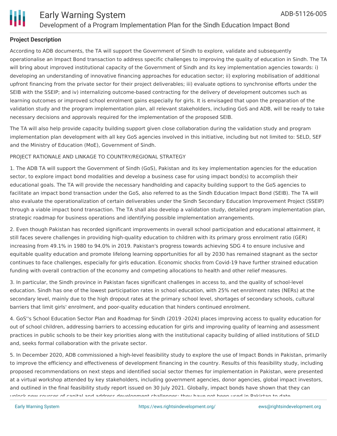

#### **Project Description**

According to ADB documents, the TA will support the Government of Sindh to explore, validate and subsequently operationalise an Impact Bond transaction to address specific challenges to improving the quality of education in Sindh. The TA will bring about improved institutional capacity of the Government of Sindh and its key implementation agencies towards: i) developing an understanding of innovative financing approaches for education sector; ii) exploring mobilisation of additional upfront financing from the private sector for their project deliverables; iii) evaluate options to synchronise efforts under the SEIB with the SSEIP; and iv) internalizing outcome-based contracting for the delivery of development outcomes such as learning outcomes or improved school enrolment gains especially for girls. It is envisaged that upon the preparation of the validation study and the program implementation plan, all relevant stakeholders, including GoS and ADB, will be ready to take necessary decisions and approvals required for the implementation of the proposed SEIB.

The TA will also help provide capacity building support given close collaboration during the validation study and program implementation plan development with all key GoS agencies involved in this initiative, including but not limited to: SELD, SEF and the Ministry of Education (MoE), Government of Sindh.

#### PROJECT RATIONALE AND LINKAGE TO COUNTRY/REGIONAL STRATEGY

1. The ADB TA will support the Government of Sindh (GoS), Pakistan and its key implementation agencies for the education sector, to explore impact bond modalities and develop a business case for using impact bond(s) to accomplish their educational goals. The TA will provide the necessary handholding and capacity building support to the GoS agencies to facilitate an impact bond transaction under the GoS, also referred to as the Sindh Education Impact Bond (SEIB). The TA will also evaluate the operationalization of certain deliverables under the Sindh Secondary Education Improvement Project (SSEIP) through a viable impact bond transaction. The TA shall also develop a validation study, detailed program implementation plan, strategic roadmap for business operations and identifying possible implementation arrangements.

2. Even though Pakistan has recorded significant improvements in overall school participation and educational attainment, it still faces severe challenges in providing high-quality education to children with its primary gross enrolment ratio (GER) increasing from 49.1% in 1980 to 94.0% in 2019. Pakistan's progress towards achieving SDG 4 to ensure inclusive and equitable quality education and promote lifelong learning opportunities for all by 2030 has remained stagnant as the sector continues to face challenges, especially for girls education. Economic shocks from Covid-19 have further strained education funding with overall contraction of the economy and competing allocations to health and other relief measures.

3. In particular, the Sindh province in Pakistan faces significant challenges in access to, and the quality of school-level education. Sindh has one of the lowest participation rates in school education, with 25% net enrolment rates (NERs) at the secondary level, mainly due to the high dropout rates at the primary school level, shortages of secondary schools, cultural barriers that limit girls' enrolment, and poor-quality education that hinders continued enrolment.

4. GoS''s School Education Sector Plan and Roadmap for Sindh (2019 -2024) places improving access to quality education for out of school children, addressing barriers to accessing education for girls and improving quality of learning and assessment practices in public schools to be their key priorities along with the institutional capacity building of allied institutions of SELD and, seeks formal collaboration with the private sector.

5. In December 2020, ADB commissioned a high-level feasibility study to explore the use of Impact Bonds in Pakistan, primarily to improve the efficiency and effectiveness of development financing in the country. Results of this feasibility study, including proposed recommendations on next steps and identified social sector themes for implementation in Pakistan, were presented at a virtual workshop attended by key stakeholders, including government agencies, donor agencies, global impact investors, and outlined in the final feasibility study report issued on 30 July 2021. Globally, impact bonds have shown that they can unlock new sources of capital and address development challenges; they have not been used in Pakistan to date.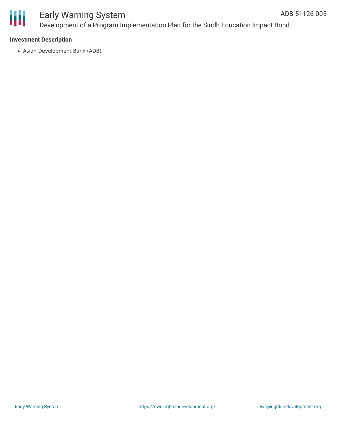

# ₩

## Early Warning System Development of a Program Implementation Plan for the Sindh Education Impact Bond

#### **Investment Description**

Asian Development Bank (ADB)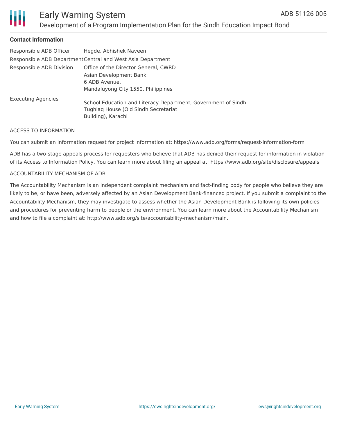

### Early Warning System Development of a Program Implementation Plan for the Sindh Education Impact Bond

#### **Contact Information**

| Responsible ADB Officer                                     | Hegde, Abhishek Naveen                                        |
|-------------------------------------------------------------|---------------------------------------------------------------|
| Responsible ADB Department Central and West Asia Department |                                                               |
| Responsible ADB Division                                    | Office of the Director General, CWRD                          |
|                                                             | Asian Development Bank                                        |
|                                                             | 6 ADB Avenue,                                                 |
|                                                             | Mandaluyong City 1550, Philippines                            |
| <b>Executing Agencies</b>                                   |                                                               |
|                                                             | School Education and Literacy Department, Government of Sindh |
|                                                             | Tughlag House (Old Sindh Secretariat                          |
|                                                             | Building), Karachi                                            |

#### ACCESS TO INFORMATION

You can submit an information request for project information at: https://www.adb.org/forms/request-information-form

ADB has a two-stage appeals process for requesters who believe that ADB has denied their request for information in violation of its Access to Information Policy. You can learn more about filing an appeal at: https://www.adb.org/site/disclosure/appeals

#### ACCOUNTABILITY MECHANISM OF ADB

The Accountability Mechanism is an independent complaint mechanism and fact-finding body for people who believe they are likely to be, or have been, adversely affected by an Asian Development Bank-financed project. If you submit a complaint to the Accountability Mechanism, they may investigate to assess whether the Asian Development Bank is following its own policies and procedures for preventing harm to people or the environment. You can learn more about the Accountability Mechanism and how to file a complaint at: http://www.adb.org/site/accountability-mechanism/main.